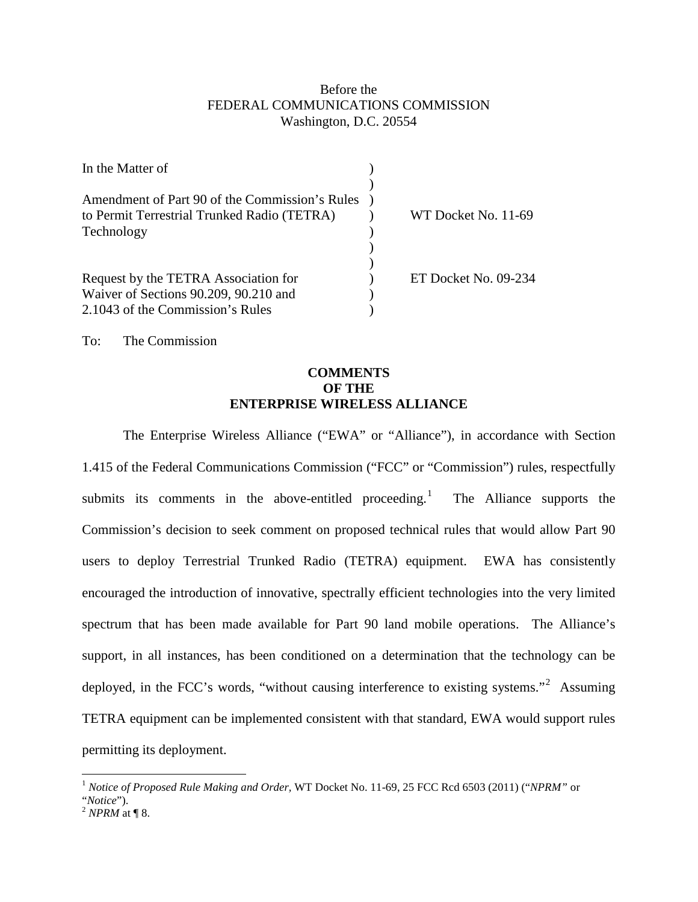## Before the FEDERAL COMMUNICATIONS COMMISSION Washington, D.C. 20554

| In the Matter of                               |                      |
|------------------------------------------------|----------------------|
| Amendment of Part 90 of the Commission's Rules |                      |
| to Permit Terrestrial Trunked Radio (TETRA)    | WT Docket No. 11-69  |
| Technology                                     |                      |
|                                                |                      |
| Request by the TETRA Association for           | ET Docket No. 09-234 |
| Waiver of Sections 90.209, 90.210 and          |                      |
| 2.1043 of the Commission's Rules               |                      |

To: The Commission

## **COMMENTS OF THE ENTERPRISE WIRELESS ALLIANCE**

The Enterprise Wireless Alliance ("EWA" or "Alliance"), in accordance with Section 1.415 of the Federal Communications Commission ("FCC" or "Commission") rules, respectfully submits its comments in the above-entitled proceeding. $\frac{1}{1}$  $\frac{1}{1}$  $\frac{1}{1}$  The Alliance supports the Commission's decision to seek comment on proposed technical rules that would allow Part 90 users to deploy Terrestrial Trunked Radio (TETRA) equipment. EWA has consistently encouraged the introduction of innovative, spectrally efficient technologies into the very limited spectrum that has been made available for Part 90 land mobile operations. The Alliance's support, in all instances, has been conditioned on a determination that the technology can be deployed, in the FCC's words, "without causing interference to existing systems."<sup>[2](#page-0-1)</sup> Assuming TETRA equipment can be implemented consistent with that standard, EWA would support rules permitting its deployment.

<span id="page-0-0"></span> <sup>1</sup> *Notice of Proposed Rule Making and Order,* WT Docket No. 11-69, 25 FCC Rcd 6503 (2011) ("*NPRM"* or "*Notice*").

<span id="page-0-1"></span><sup>2</sup> *NPRM* at ¶ 8.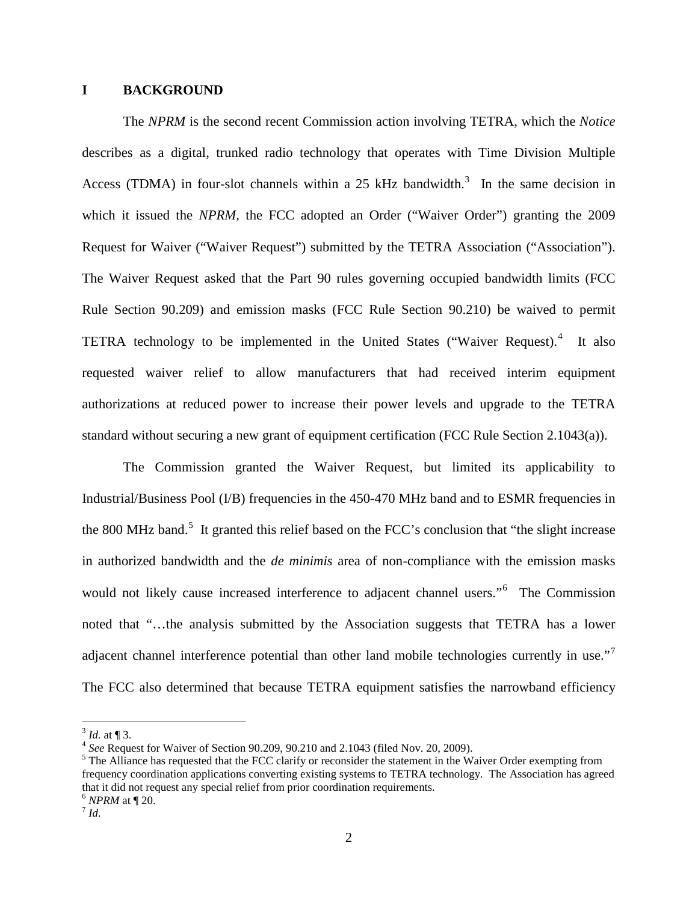#### **I BACKGROUND**

The *NPRM* is the second recent Commission action involving TETRA, which the *Notice* describes as a digital, trunked radio technology that operates with Time Division Multiple Access (TDMA) in four-slot channels within a 25 kHz bandwidth.<sup>[3](#page-1-0)</sup> In the same decision in which it issued the *NPRM*, the FCC adopted an Order ("Waiver Order") granting the 2009 Request for Waiver ("Waiver Request") submitted by the TETRA Association ("Association"). The Waiver Request asked that the Part 90 rules governing occupied bandwidth limits (FCC Rule Section 90.209) and emission masks (FCC Rule Section 90.210) be waived to permit TETRA technology to be implemented in the United States ("Waiver Request).<sup>[4](#page-1-1)</sup> It also requested waiver relief to allow manufacturers that had received interim equipment authorizations at reduced power to increase their power levels and upgrade to the TETRA standard without securing a new grant of equipment certification (FCC Rule Section 2.1043(a)).

The Commission granted the Waiver Request, but limited its applicability to Industrial/Business Pool (I/B) frequencies in the 450-470 MHz band and to ESMR frequencies in the 800 MHz band.<sup>[5](#page-1-2)</sup> It granted this relief based on the FCC's conclusion that "the slight increase in authorized bandwidth and the *de minimis* area of non-compliance with the emission masks would not likely cause increased interference to adjacent channel users."[6](#page-1-3) The Commission noted that "…the analysis submitted by the Association suggests that TETRA has a lower adjacent channel interference potential than other land mobile technologies currently in use."<sup>[7](#page-1-4)</sup> The FCC also determined that because TETRA equipment satisfies the narrowband efficiency

<span id="page-1-0"></span> $^{3}$  *Id.* at ¶ 3.<br><sup>4</sup> *See* Request for Waiver of Section 90.209, 90.210 and 2.1043 (filed Nov. 20, 2009).

<span id="page-1-4"></span><span id="page-1-3"></span><span id="page-1-2"></span><span id="page-1-1"></span><sup>&</sup>lt;sup>5</sup> The Alliance has requested that the FCC clarify or reconsider the statement in the Waiver Order exempting from frequency coordination applications converting existing systems to TETRA technology. The Association has agreed that it did not request any special relief from prior coordination requirements.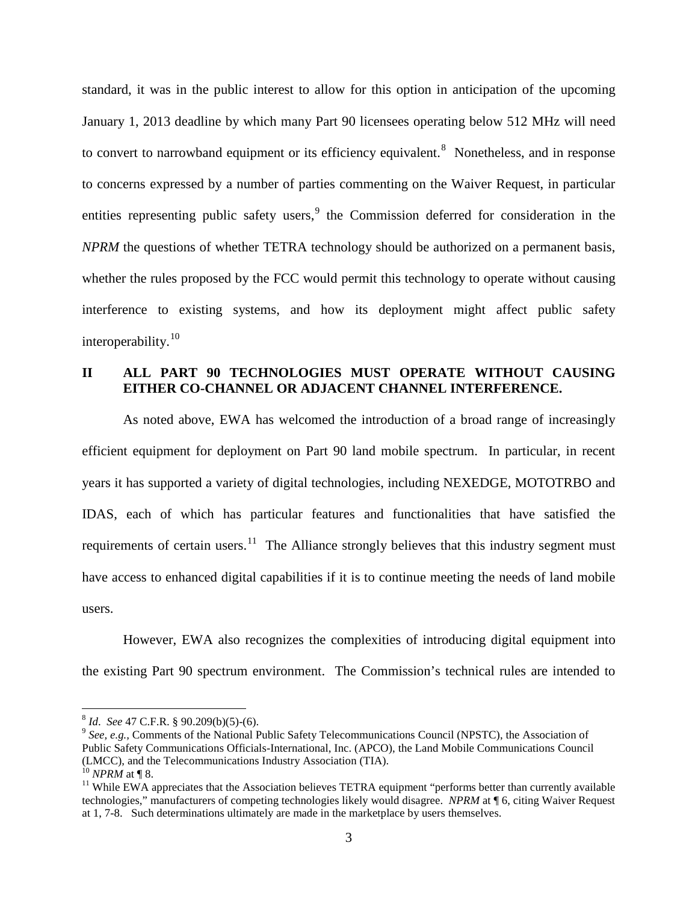standard, it was in the public interest to allow for this option in anticipation of the upcoming January 1, 2013 deadline by which many Part 90 licensees operating below 512 MHz will need to convert to narrowband equipment or its efficiency equivalent.<sup>[8](#page-2-0)</sup> Nonetheless, and in response to concerns expressed by a number of parties commenting on the Waiver Request, in particular entities representing public safety users,  $9$  the Commission deferred for consideration in the *NPRM* the questions of whether TETRA technology should be authorized on a permanent basis, whether the rules proposed by the FCC would permit this technology to operate without causing interference to existing systems, and how its deployment might affect public safety interoperability.[10](#page-2-2)

## **II ALL PART 90 TECHNOLOGIES MUST OPERATE WITHOUT CAUSING EITHER CO-CHANNEL OR ADJACENT CHANNEL INTERFERENCE.**

As noted above, EWA has welcomed the introduction of a broad range of increasingly efficient equipment for deployment on Part 90 land mobile spectrum. In particular, in recent years it has supported a variety of digital technologies, including NEXEDGE, MOTOTRBO and IDAS, each of which has particular features and functionalities that have satisfied the requirements of certain users.<sup>[11](#page-2-3)</sup> The Alliance strongly believes that this industry segment must have access to enhanced digital capabilities if it is to continue meeting the needs of land mobile users.

However, EWA also recognizes the complexities of introducing digital equipment into the existing Part 90 spectrum environment. The Commission's technical rules are intended to

<span id="page-2-1"></span><span id="page-2-0"></span><sup>&</sup>lt;sup>8</sup> *Id. See* 47 C.F.R. § 90.209(b)(5)-(6).<br><sup>9</sup> *See, e.g.*, Comments of the National Public Safety Telecommunications Council (NPSTC), the Association of Public Safety Communications Officials-International, Inc. (APCO), the Land Mobile Communications Council (LMCC), and the Telecommunications Industry Association (TIA). <sup>10</sup> *NPRM* at ¶ 8.

<span id="page-2-2"></span>

<span id="page-2-3"></span> $11$  While EWA appreciates that the Association believes TETRA equipment "performs better than currently available" technologies," manufacturers of competing technologies likely would disagree. *NPRM* at ¶ 6, citing Waiver Request at 1, 7-8. Such determinations ultimately are made in the marketplace by users themselves.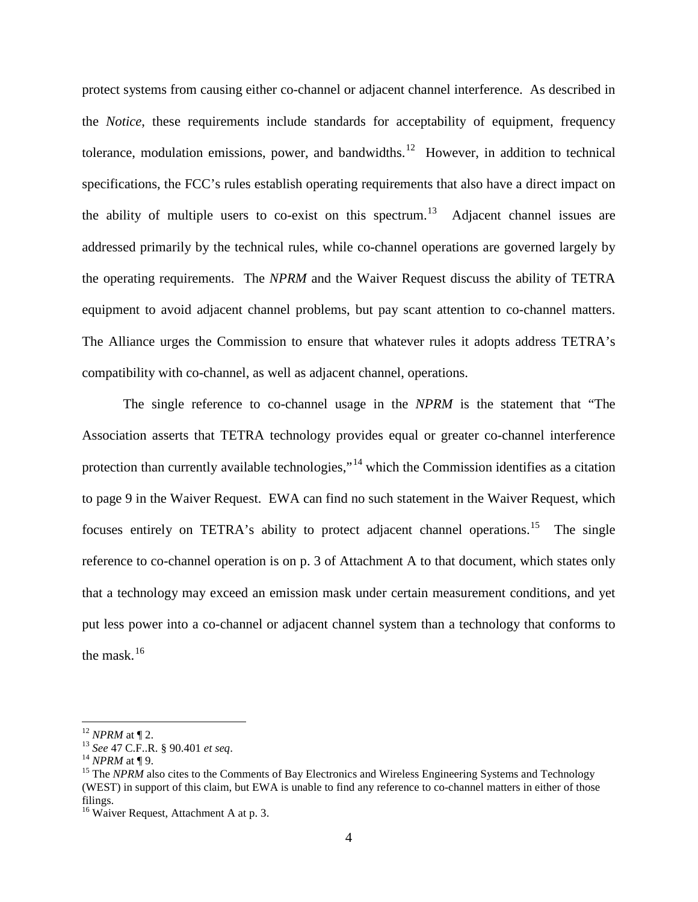protect systems from causing either co-channel or adjacent channel interference. As described in the *Notice*, these requirements include standards for acceptability of equipment, frequency tolerance, modulation emissions, power, and bandwidths.<sup>[12](#page-3-0)</sup> However, in addition to technical specifications, the FCC's rules establish operating requirements that also have a direct impact on the ability of multiple users to co-exist on this spectrum.<sup>[13](#page-3-1)</sup> Adjacent channel issues are addressed primarily by the technical rules, while co-channel operations are governed largely by the operating requirements. The *NPRM* and the Waiver Request discuss the ability of TETRA equipment to avoid adjacent channel problems, but pay scant attention to co-channel matters. The Alliance urges the Commission to ensure that whatever rules it adopts address TETRA's compatibility with co-channel, as well as adjacent channel, operations.

The single reference to co-channel usage in the *NPRM* is the statement that "The Association asserts that TETRA technology provides equal or greater co-channel interference protection than currently available technologies,"<sup>[14](#page-3-2)</sup> which the Commission identifies as a citation to page 9 in the Waiver Request. EWA can find no such statement in the Waiver Request, which focuses entirely on TETRA's ability to protect adjacent channel operations.<sup>15</sup> The single reference to co-channel operation is on p. 3 of Attachment A to that document, which states only that a technology may exceed an emission mask under certain measurement conditions, and yet put less power into a co-channel or adjacent channel system than a technology that conforms to the mask. $16$ 

<span id="page-3-0"></span><sup>&</sup>lt;sup>12</sup> *NPRM* at ¶ 2.<br><sup>13</sup> *See* 47 C.F..R. § 90.401 *et seq.* 

<span id="page-3-3"></span><span id="page-3-2"></span><span id="page-3-1"></span><sup>&</sup>lt;sup>14</sup> *NPRM* at ¶ 9.<br><sup>15</sup> The *NPRM* also cites to the Comments of Bay Electronics and Wireless Engineering Systems and Technology (WEST) in support of this claim, but EWA is unable to find any reference to co-channel matters in either of those filings.

<span id="page-3-4"></span><sup>&</sup>lt;sup>16</sup> Waiver Request, Attachment A at p. 3.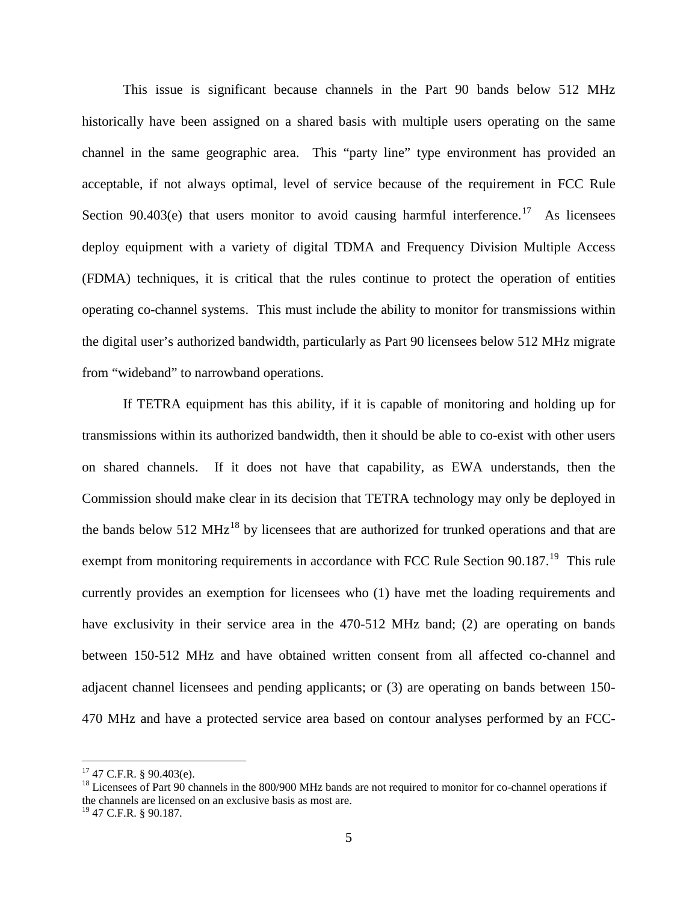This issue is significant because channels in the Part 90 bands below 512 MHz historically have been assigned on a shared basis with multiple users operating on the same channel in the same geographic area. This "party line" type environment has provided an acceptable, if not always optimal, level of service because of the requirement in FCC Rule Section 90.403 $(e)$  that users monitor to avoid causing harmful interference.<sup>[17](#page-4-0)</sup> As licensees deploy equipment with a variety of digital TDMA and Frequency Division Multiple Access (FDMA) techniques, it is critical that the rules continue to protect the operation of entities operating co-channel systems. This must include the ability to monitor for transmissions within the digital user's authorized bandwidth, particularly as Part 90 licensees below 512 MHz migrate from "wideband" to narrowband operations.

If TETRA equipment has this ability, if it is capable of monitoring and holding up for transmissions within its authorized bandwidth, then it should be able to co-exist with other users on shared channels. If it does not have that capability, as EWA understands, then the Commission should make clear in its decision that TETRA technology may only be deployed in the bands below 512 MHz<sup>[18](#page-4-1)</sup> by licensees that are authorized for trunked operations and that are exempt from monitoring requirements in accordance with FCC Rule Section 90.187.<sup>[19](#page-4-2)</sup> This rule currently provides an exemption for licensees who (1) have met the loading requirements and have exclusivity in their service area in the 470-512 MHz band; (2) are operating on bands between 150-512 MHz and have obtained written consent from all affected co-channel and adjacent channel licensees and pending applicants; or (3) are operating on bands between 150- 470 MHz and have a protected service area based on contour analyses performed by an FCC-

<span id="page-4-0"></span> $17$  47 C.F.R. § 90.403(e).

<span id="page-4-1"></span><sup>&</sup>lt;sup>18</sup> Licensees of Part 90 channels in the 800/900 MHz bands are not required to monitor for co-channel operations if the channels are licensed on an exclusive basis as most are.

<span id="page-4-2"></span><sup>19</sup> 47 C.F.R. § 90.187.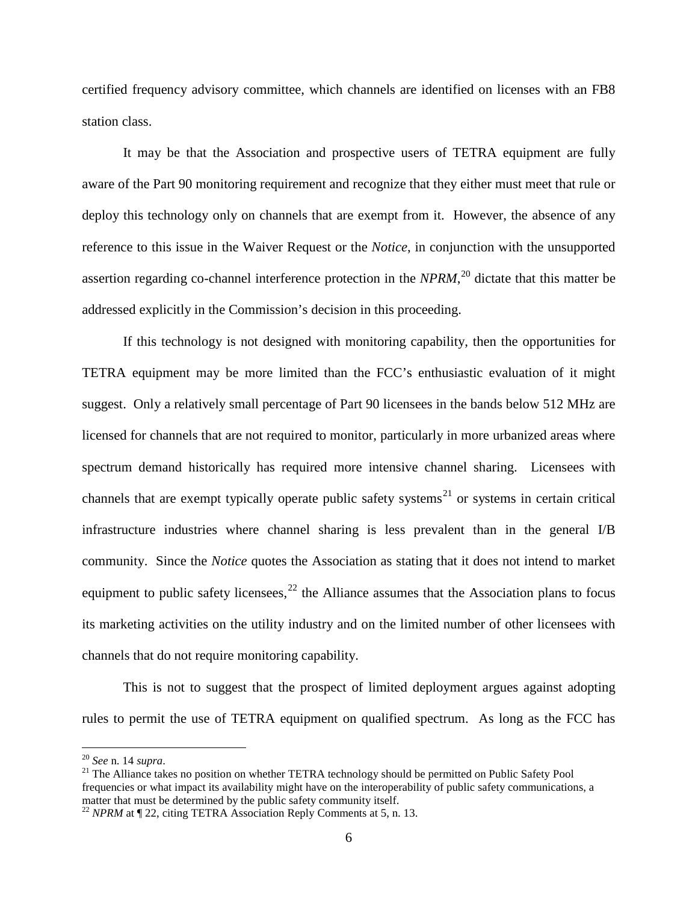certified frequency advisory committee, which channels are identified on licenses with an FB8 station class.

It may be that the Association and prospective users of TETRA equipment are fully aware of the Part 90 monitoring requirement and recognize that they either must meet that rule or deploy this technology only on channels that are exempt from it. However, the absence of any reference to this issue in the Waiver Request or the *Notice*, in conjunction with the unsupported assertion regarding co-channel interference protection in the *NPRM*, [20](#page-5-0) dictate that this matter be addressed explicitly in the Commission's decision in this proceeding.

If this technology is not designed with monitoring capability, then the opportunities for TETRA equipment may be more limited than the FCC's enthusiastic evaluation of it might suggest. Only a relatively small percentage of Part 90 licensees in the bands below 512 MHz are licensed for channels that are not required to monitor, particularly in more urbanized areas where spectrum demand historically has required more intensive channel sharing. Licensees with channels that are exempt typically operate public safety systems<sup>[21](#page-5-1)</sup> or systems in certain critical infrastructure industries where channel sharing is less prevalent than in the general I/B community. Since the *Notice* quotes the Association as stating that it does not intend to market equipment to public safety licensees,  $2<sup>2</sup>$  the Alliance assumes that the Association plans to focus its marketing activities on the utility industry and on the limited number of other licensees with channels that do not require monitoring capability.

This is not to suggest that the prospect of limited deployment argues against adopting rules to permit the use of TETRA equipment on qualified spectrum. As long as the FCC has

<span id="page-5-1"></span><span id="page-5-0"></span><sup>&</sup>lt;sup>20</sup> *See* n. 14 *supra*.<br><sup>21</sup> The Alliance takes no position on whether TETRA technology should be permitted on Public Safety Pool frequencies or what impact its availability might have on the interoperability of public safety communications, a matter that must be determined by the public safety community itself.

<span id="page-5-2"></span><sup>&</sup>lt;sup>22</sup> *NPRM* at ¶ 22, citing TETRA Association Reply Comments at 5, n. 13.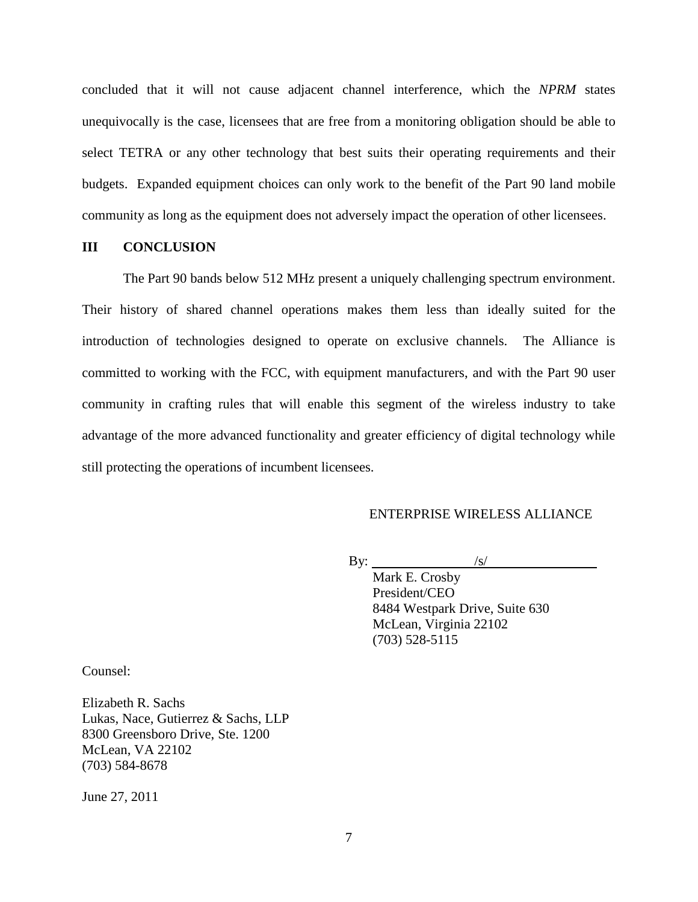concluded that it will not cause adjacent channel interference, which the *NPRM* states unequivocally is the case, licensees that are free from a monitoring obligation should be able to select TETRA or any other technology that best suits their operating requirements and their budgets. Expanded equipment choices can only work to the benefit of the Part 90 land mobile community as long as the equipment does not adversely impact the operation of other licensees.

#### **III CONCLUSION**

The Part 90 bands below 512 MHz present a uniquely challenging spectrum environment. Their history of shared channel operations makes them less than ideally suited for the introduction of technologies designed to operate on exclusive channels. The Alliance is committed to working with the FCC, with equipment manufacturers, and with the Part 90 user community in crafting rules that will enable this segment of the wireless industry to take advantage of the more advanced functionality and greater efficiency of digital technology while still protecting the operations of incumbent licensees.

#### ENTERPRISE WIRELESS ALLIANCE

By:  $\frac{|s|}{\sqrt{|s|}}$ 

Mark E. Crosby President/CEO 8484 Westpark Drive, Suite 630 McLean, Virginia 22102 (703) 528-5115

Counsel:

Elizabeth R. Sachs Lukas, Nace, Gutierrez & Sachs, LLP 8300 Greensboro Drive, Ste. 1200 McLean, VA 22102 (703) 584-8678

June 27, 2011